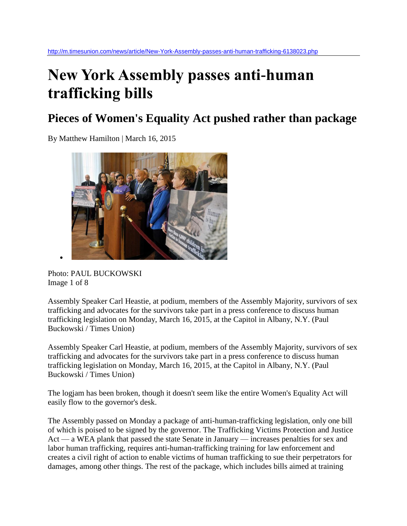## **New York Assembly passes anti-human trafficking bills**

## **Pieces of Women's Equality Act pushed rather than package**

By Matthew Hamilton | March 16, 2015



Photo: PAUL BUCKOWSKI Image 1 of 8

Assembly Speaker Carl Heastie, at podium, members of the Assembly Majority, survivors of sex trafficking and advocates for the survivors take part in a press conference to discuss human trafficking legislation on Monday, March 16, 2015, at the Capitol in Albany, N.Y. (Paul Buckowski / Times Union)

Assembly Speaker Carl Heastie, at podium, members of the Assembly Majority, survivors of sex trafficking and advocates for the survivors take part in a press conference to discuss human trafficking legislation on Monday, March 16, 2015, at the Capitol in Albany, N.Y. (Paul Buckowski / Times Union)

The logjam has been broken, though it doesn't seem like the entire Women's Equality Act will easily flow to the governor's desk.

The Assembly passed on Monday a package of anti-human-trafficking legislation, only one bill of which is poised to be signed by the governor. The Trafficking Victims Protection and Justice Act — a WEA plank that passed the state Senate in January — increases penalties for sex and labor human trafficking, requires anti-human-trafficking training for law enforcement and creates a civil right of action to enable victims of human trafficking to sue their perpetrators for damages, among other things. The rest of the package, which includes bills aimed at training